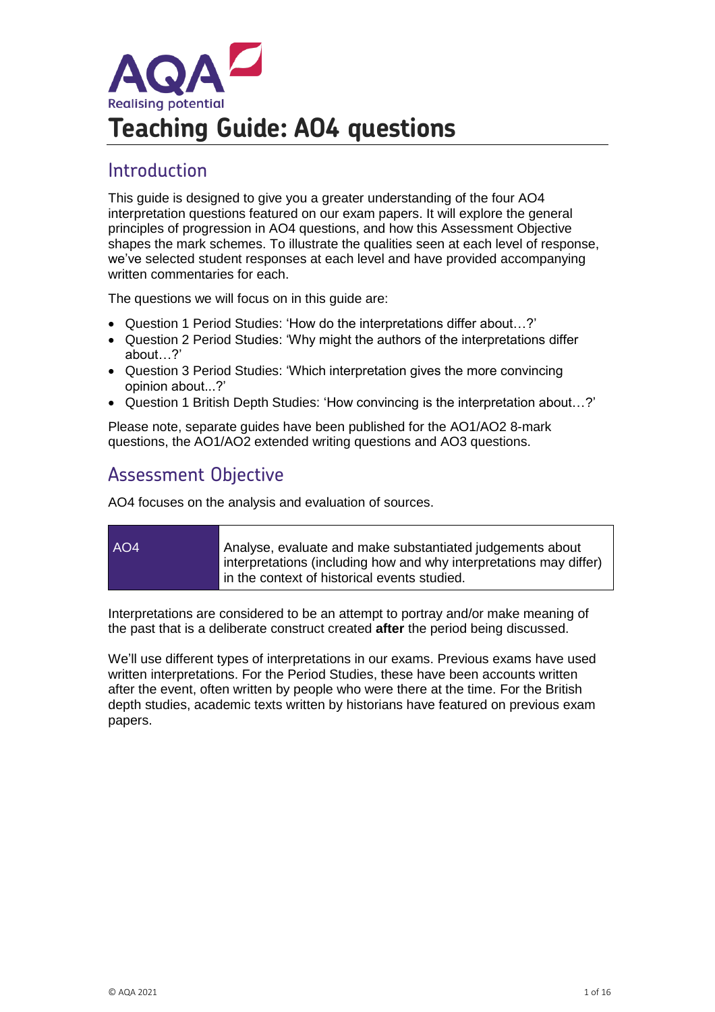

# Introduction

This guide is designed to give you a greater understanding of the four AO4 interpretation questions featured on our exam papers. It will explore the general principles of progression in AO4 questions, and how this Assessment Objective shapes the mark schemes. To illustrate the qualities seen at each level of response, we've selected student responses at each level and have provided accompanying written commentaries for each.

The questions we will focus on in this guide are:

- Question 1 Period Studies: 'How do the interpretations differ about…?'
- Question 2 Period Studies: 'Why might the authors of the interpretations differ about…?'
- Question 3 Period Studies: 'Which interpretation gives the more convincing opinion about...?'
- Question 1 British Depth Studies: 'How convincing is the interpretation about…?'

Please note, separate guides have been published for the AO1/AO2 8-mark questions, the AO1/AO2 extended writing questions and AO3 questions.

# Assessment Objective

AO4 focuses on the analysis and evaluation of sources.

AO4 Analyse, evaluate and make substantiated judgements about interpretations (including how and why interpretations may differ) in the context of historical events studied.

Interpretations are considered to be an attempt to portray and/or make meaning of the past that is a deliberate construct created **after** the period being discussed.

We'll use different types of interpretations in our exams. Previous exams have used written interpretations. For the Period Studies, these have been accounts written after the event, often written by people who were there at the time. For the British depth studies, academic texts written by historians have featured on previous exam papers.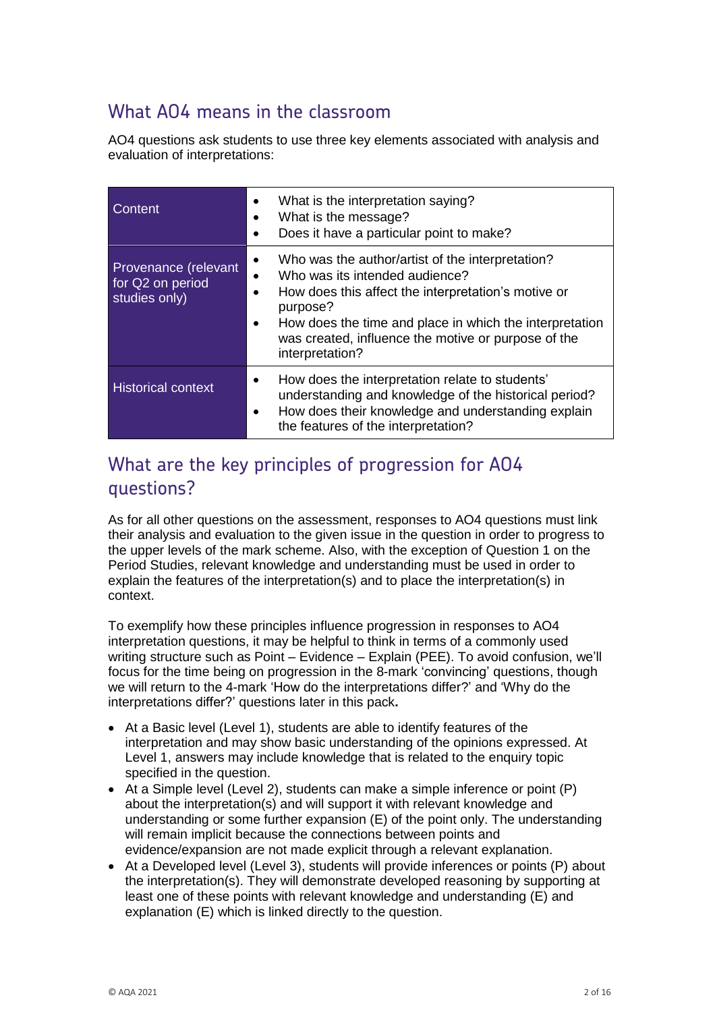# What AO4 means in the classroom

AO4 questions ask students to use three key elements associated with analysis and evaluation of interpretations:

| Content                                                   | What is the interpretation saying?<br>What is the message?<br>Does it have a particular point to make?                                                                                                                                                                                                       |
|-----------------------------------------------------------|--------------------------------------------------------------------------------------------------------------------------------------------------------------------------------------------------------------------------------------------------------------------------------------------------------------|
| Provenance (relevant<br>for Q2 on period<br>studies only) | Who was the author/artist of the interpretation?<br>$\bullet$<br>Who was its intended audience?<br>How does this affect the interpretation's motive or<br>٠<br>purpose?<br>How does the time and place in which the interpretation<br>was created, influence the motive or purpose of the<br>interpretation? |
| <b>Historical context</b>                                 | How does the interpretation relate to students'<br>understanding and knowledge of the historical period?<br>How does their knowledge and understanding explain<br>the features of the interpretation?                                                                                                        |

# What are the key principles of progression for AO4 questions?

As for all other questions on the assessment, responses to AO4 questions must link their analysis and evaluation to the given issue in the question in order to progress to the upper levels of the mark scheme. Also, with the exception of Question 1 on the Period Studies, relevant knowledge and understanding must be used in order to explain the features of the interpretation(s) and to place the interpretation(s) in context.

To exemplify how these principles influence progression in responses to AO4 interpretation questions, it may be helpful to think in terms of a commonly used writing structure such as Point – Evidence – Explain (PEE). To avoid confusion, we'll focus for the time being on progression in the 8-mark 'convincing' questions, though we will return to the 4-mark 'How do the interpretations differ?' and 'Why do the interpretations differ?' questions later in this pack**.**

- At a Basic level (Level 1), students are able to identify features of the interpretation and may show basic understanding of the opinions expressed. At Level 1, answers may include knowledge that is related to the enquiry topic specified in the question.
- At a Simple level (Level 2), students can make a simple inference or point (P) about the interpretation(s) and will support it with relevant knowledge and understanding or some further expansion (E) of the point only. The understanding will remain implicit because the connections between points and evidence/expansion are not made explicit through a relevant explanation.
- At a Developed level (Level 3), students will provide inferences or points (P) about the interpretation(s). They will demonstrate developed reasoning by supporting at least one of these points with relevant knowledge and understanding (E) and explanation (E) which is linked directly to the question.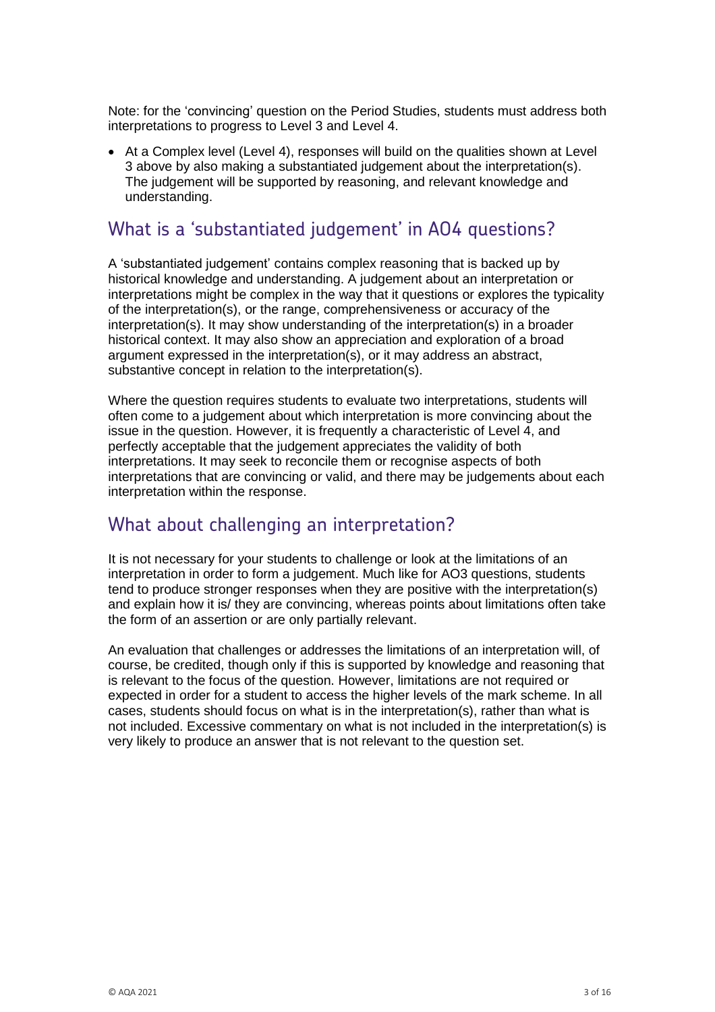Note: for the 'convincing' question on the Period Studies, students must address both interpretations to progress to Level 3 and Level 4.

• At a Complex level (Level 4), responses will build on the qualities shown at Level 3 above by also making a substantiated judgement about the interpretation(s). The judgement will be supported by reasoning, and relevant knowledge and understanding.

# What is a 'substantiated judgement' in AO4 questions?

A 'substantiated judgement' contains complex reasoning that is backed up by historical knowledge and understanding. A judgement about an interpretation or interpretations might be complex in the way that it questions or explores the typicality of the interpretation(s), or the range, comprehensiveness or accuracy of the interpretation(s). It may show understanding of the interpretation(s) in a broader historical context. It may also show an appreciation and exploration of a broad argument expressed in the interpretation(s), or it may address an abstract, substantive concept in relation to the interpretation(s).

Where the question requires students to evaluate two interpretations, students will often come to a judgement about which interpretation is more convincing about the issue in the question. However, it is frequently a characteristic of Level 4, and perfectly acceptable that the judgement appreciates the validity of both interpretations. It may seek to reconcile them or recognise aspects of both interpretations that are convincing or valid, and there may be judgements about each interpretation within the response.

# What about challenging an interpretation?

It is not necessary for your students to challenge or look at the limitations of an interpretation in order to form a judgement. Much like for AO3 questions, students tend to produce stronger responses when they are positive with the interpretation(s) and explain how it is/ they are convincing, whereas points about limitations often take the form of an assertion or are only partially relevant.

An evaluation that challenges or addresses the limitations of an interpretation will, of course, be credited, though only if this is supported by knowledge and reasoning that is relevant to the focus of the question. However, limitations are not required or expected in order for a student to access the higher levels of the mark scheme. In all cases, students should focus on what is in the interpretation(s), rather than what is not included. Excessive commentary on what is not included in the interpretation(s) is very likely to produce an answer that is not relevant to the question set.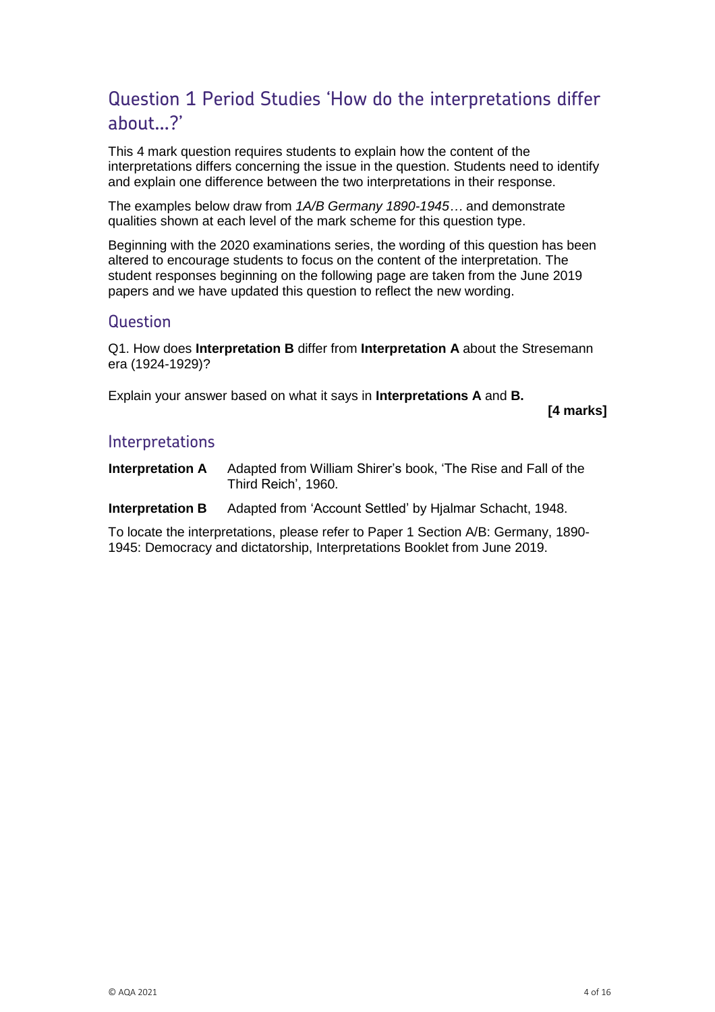# Question 1 Period Studies 'How do the interpretations differ about…?'

This 4 mark question requires students to explain how the content of the interpretations differs concerning the issue in the question. Students need to identify and explain one difference between the two interpretations in their response.

The examples below draw from *1A/B Germany 1890-1945…* and demonstrate qualities shown at each level of the mark scheme for this question type.

Beginning with the 2020 examinations series, the wording of this question has been altered to encourage students to focus on the content of the interpretation. The student responses beginning on the following page are taken from the June 2019 papers and we have updated this question to reflect the new wording.

### **Question**

Q1. How does **Interpretation B** differ from **Interpretation A** about the Stresemann era (1924-1929)?

Explain your answer based on what it says in **Interpretations A** and **B.**

**[4 marks]**

### **Interpretations**

**Interpretation A** Adapted from William Shirer's book, 'The Rise and Fall of the Third Reich', 1960.

**Interpretation B** Adapted from 'Account Settled' by Hjalmar Schacht, 1948.

To locate the interpretations, please refer to Paper 1 Section A/B: Germany, 1890- 1945: Democracy and dictatorship, Interpretations Booklet from June 2019.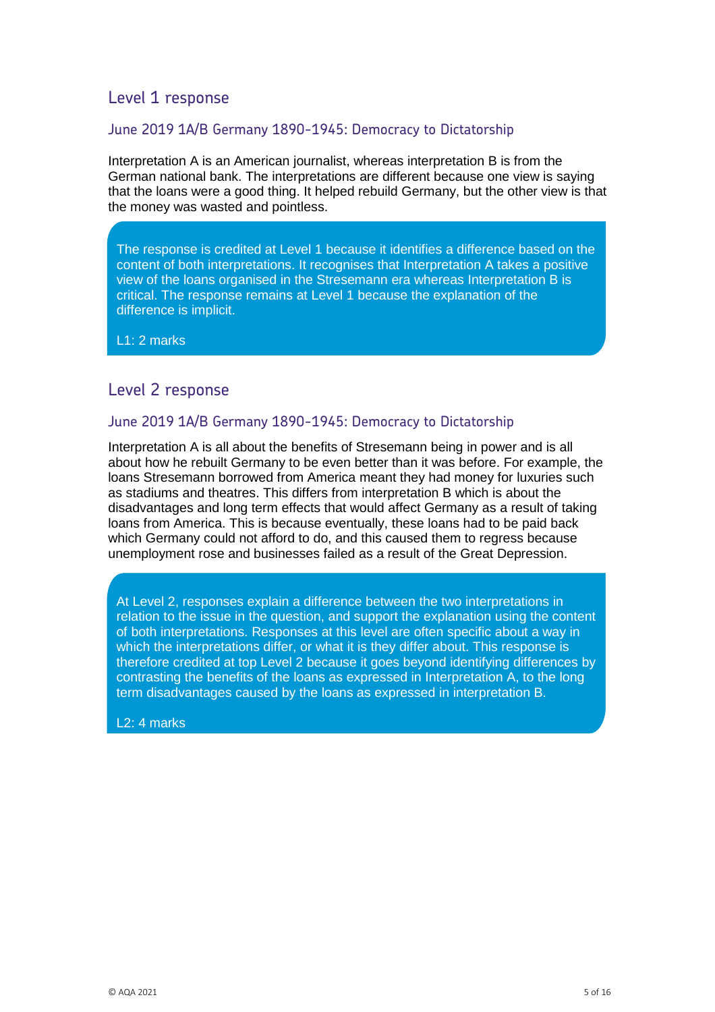### June 2019 1A/B Germany 1890-1945: Democracy to Dictatorship

Interpretation A is an American journalist, whereas interpretation B is from the German national bank. The interpretations are different because one view is saying that the loans were a good thing. It helped rebuild Germany, but the other view is that the money was wasted and pointless.

The response is credited at Level 1 because it identifies a difference based on the content of both interpretations. It recognises that Interpretation A takes a positive view of the loans organised in the Stresemann era whereas Interpretation B is critical. The response remains at Level 1 because the explanation of the difference is implicit.

L1: 2 marks

# Level 2 response

### June 2019 1A/B Germany 1890-1945: Democracy to Dictatorship

Interpretation A is all about the benefits of Stresemann being in power and is all about how he rebuilt Germany to be even better than it was before. For example, the loans Stresemann borrowed from America meant they had money for luxuries such as stadiums and theatres. This differs from interpretation B which is about the disadvantages and long term effects that would affect Germany as a result of taking loans from America. This is because eventually, these loans had to be paid back which Germany could not afford to do, and this caused them to regress because unemployment rose and businesses failed as a result of the Great Depression.

At Level 2, responses explain a difference between the two interpretations in relation to the issue in the question, and support the explanation using the content of both interpretations. Responses at this level are often specific about a way in which the interpretations differ, or what it is they differ about. This response is therefore credited at top Level 2 because it goes beyond identifying differences by contrasting the benefits of the loans as expressed in Interpretation A, to the long term disadvantages caused by the loans as expressed in interpretation B.

L2: 4 marks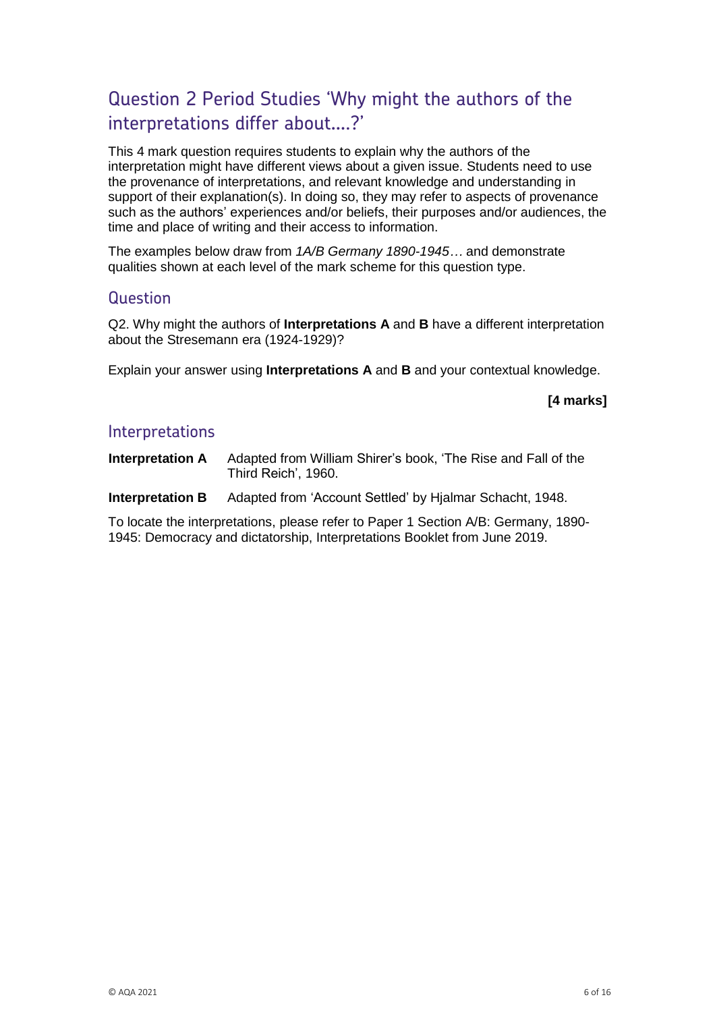# Question 2 Period Studies 'Why might the authors of the interpretations differ about….?'

This 4 mark question requires students to explain why the authors of the interpretation might have different views about a given issue. Students need to use the provenance of interpretations, and relevant knowledge and understanding in support of their explanation(s). In doing so, they may refer to aspects of provenance such as the authors' experiences and/or beliefs, their purposes and/or audiences, the time and place of writing and their access to information.

The examples below draw from *1A/B Germany 1890-1945…* and demonstrate qualities shown at each level of the mark scheme for this question type.

### Question

Q2. Why might the authors of **Interpretations A** and **B** have a different interpretation about the Stresemann era (1924-1929)?

Explain your answer using **Interpretations A** and **B** and your contextual knowledge.

### **[4 marks]**

### Interpretations

**Interpretation A** Adapted from William Shirer's book, 'The Rise and Fall of the Third Reich', 1960.

**Interpretation B** Adapted from 'Account Settled' by Hjalmar Schacht, 1948.

To locate the interpretations, please refer to Paper 1 Section A/B: Germany, 1890- 1945: Democracy and dictatorship, Interpretations Booklet from June 2019.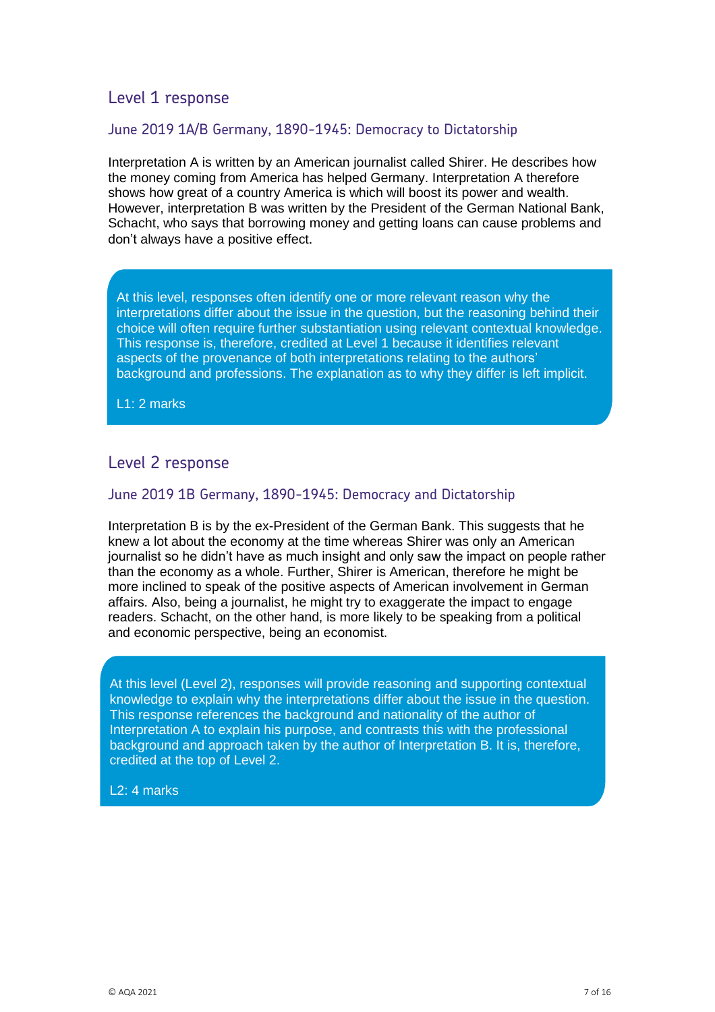### June 2019 1A/B Germany, 1890-1945: Democracy to Dictatorship

Interpretation A is written by an American journalist called Shirer. He describes how the money coming from America has helped Germany. Interpretation A therefore shows how great of a country America is which will boost its power and wealth. However, interpretation B was written by the President of the German National Bank, Schacht, who says that borrowing money and getting loans can cause problems and don't always have a positive effect.

At this level, responses often identify one or more relevant reason why the interpretations differ about the issue in the question, but the reasoning behind their choice will often require further substantiation using relevant contextual knowledge. This response is, therefore, credited at Level 1 because it identifies relevant aspects of the provenance of both interpretations relating to the authors' background and professions. The explanation as to why they differ is left implicit.

L1: 2 marks

### Level 2 response

### June 2019 1B Germany, 1890-1945: Democracy and Dictatorship

Interpretation B is by the ex-President of the German Bank. This suggests that he knew a lot about the economy at the time whereas Shirer was only an American journalist so he didn't have as much insight and only saw the impact on people rather than the economy as a whole. Further, Shirer is American, therefore he might be more inclined to speak of the positive aspects of American involvement in German affairs. Also, being a journalist, he might try to exaggerate the impact to engage readers. Schacht, on the other hand, is more likely to be speaking from a political and economic perspective, being an economist.

At this level (Level 2), responses will provide reasoning and supporting contextual knowledge to explain why the interpretations differ about the issue in the question. This response references the background and nationality of the author of Interpretation A to explain his purpose, and contrasts this with the professional background and approach taken by the author of Interpretation B. It is, therefore, credited at the top of Level 2.

#### L2: 4 marks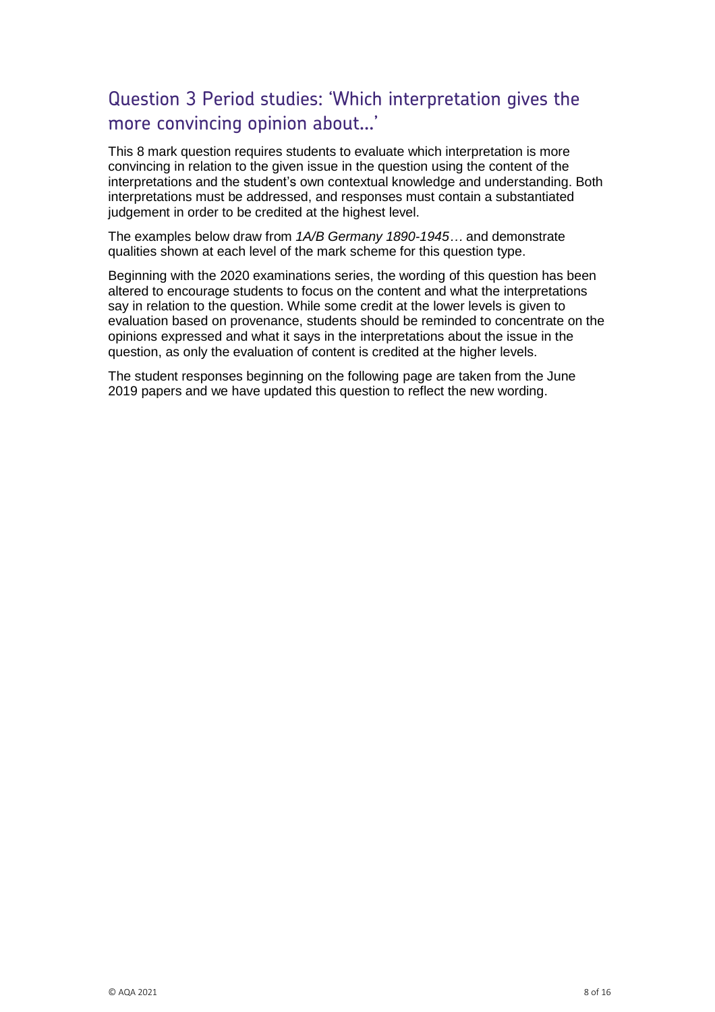# Question 3 Period studies: 'Which interpretation gives the more convincing opinion about…'

This 8 mark question requires students to evaluate which interpretation is more convincing in relation to the given issue in the question using the content of the interpretations and the student's own contextual knowledge and understanding. Both interpretations must be addressed, and responses must contain a substantiated judgement in order to be credited at the highest level.

The examples below draw from *1A/B Germany 1890-1945…* and demonstrate qualities shown at each level of the mark scheme for this question type.

Beginning with the 2020 examinations series, the wording of this question has been altered to encourage students to focus on the content and what the interpretations say in relation to the question. While some credit at the lower levels is given to evaluation based on provenance, students should be reminded to concentrate on the opinions expressed and what it says in the interpretations about the issue in the question, as only the evaluation of content is credited at the higher levels.

The student responses beginning on the following page are taken from the June 2019 papers and we have updated this question to reflect the new wording.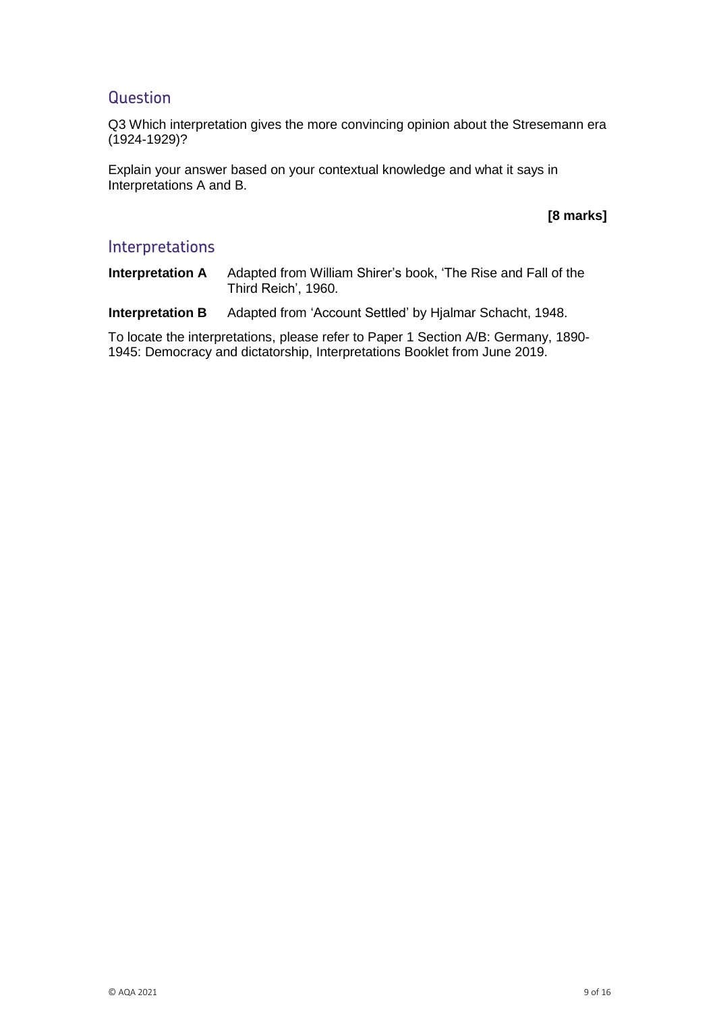## **Question**

Q3 Which interpretation gives the more convincing opinion about the Stresemann era (1924-1929)?

Explain your answer based on your contextual knowledge and what it says in Interpretations A and B.

### **[8 marks]**

### Interpretations

**Interpretation A** Adapted from William Shirer's book, 'The Rise and Fall of the Third Reich', 1960.

**Interpretation B** Adapted from 'Account Settled' by Hjalmar Schacht, 1948.

To locate the interpretations, please refer to Paper 1 Section A/B: Germany, 1890- 1945: Democracy and dictatorship, Interpretations Booklet from June 2019.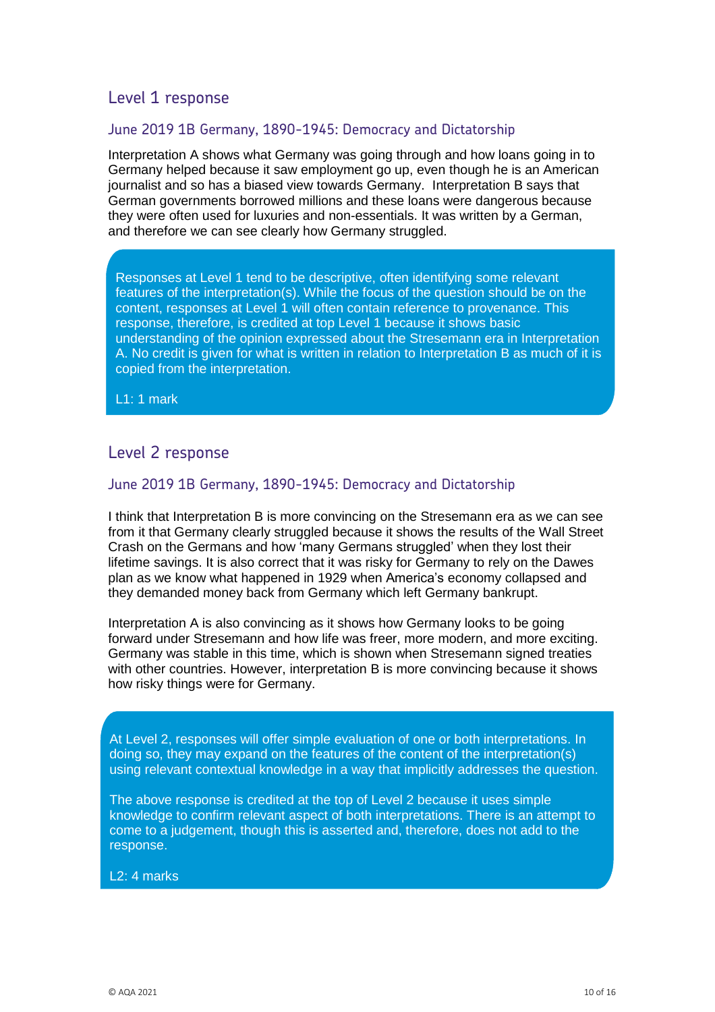### June 2019 1B Germany, 1890-1945: Democracy and Dictatorship

Interpretation A shows what Germany was going through and how loans going in to Germany helped because it saw employment go up, even though he is an American journalist and so has a biased view towards Germany. Interpretation B says that German governments borrowed millions and these loans were dangerous because they were often used for luxuries and non-essentials. It was written by a German, and therefore we can see clearly how Germany struggled.

Responses at Level 1 tend to be descriptive, often identifying some relevant features of the interpretation(s). While the focus of the question should be on the content, responses at Level 1 will often contain reference to provenance. This response, therefore, is credited at top Level 1 because it shows basic understanding of the opinion expressed about the Stresemann era in Interpretation A. No credit is given for what is written in relation to Interpretation B as much of it is copied from the interpretation.

L1: 1 mark

# Level 2 response

### June 2019 1B Germany, 1890-1945: Democracy and Dictatorship

I think that Interpretation B is more convincing on the Stresemann era as we can see from it that Germany clearly struggled because it shows the results of the Wall Street Crash on the Germans and how 'many Germans struggled' when they lost their lifetime savings. It is also correct that it was risky for Germany to rely on the Dawes plan as we know what happened in 1929 when America's economy collapsed and they demanded money back from Germany which left Germany bankrupt.

Interpretation A is also convincing as it shows how Germany looks to be going forward under Stresemann and how life was freer, more modern, and more exciting. Germany was stable in this time, which is shown when Stresemann signed treaties with other countries. However, interpretation B is more convincing because it shows how risky things were for Germany.

At Level 2, responses will offer simple evaluation of one or both interpretations. In doing so, they may expand on the features of the content of the interpretation(s) using relevant contextual knowledge in a way that implicitly addresses the question.

The above response is credited at the top of Level 2 because it uses simple knowledge to confirm relevant aspect of both interpretations. There is an attempt to come to a judgement, though this is asserted and, therefore, does not add to the response.

L2: 4 marks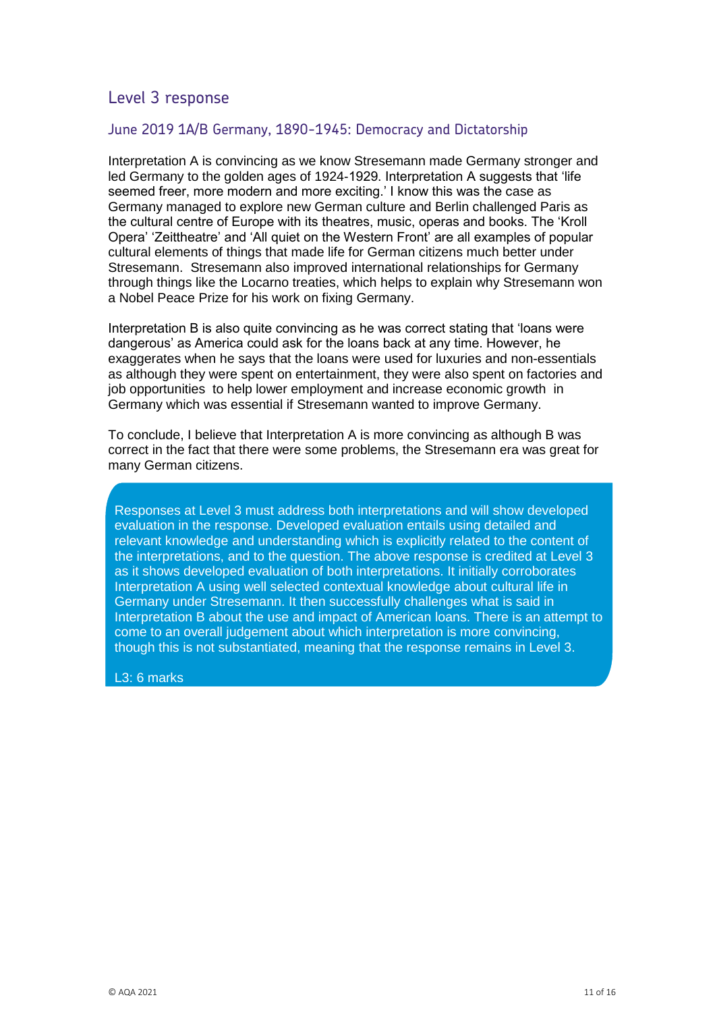### June 2019 1A/B Germany, 1890-1945: Democracy and Dictatorship

Interpretation A is convincing as we know Stresemann made Germany stronger and led Germany to the golden ages of 1924-1929. Interpretation A suggests that 'life seemed freer, more modern and more exciting.' I know this was the case as Germany managed to explore new German culture and Berlin challenged Paris as the cultural centre of Europe with its theatres, music, operas and books. The 'Kroll Opera' 'Zeittheatre' and 'All quiet on the Western Front' are all examples of popular cultural elements of things that made life for German citizens much better under Stresemann. Stresemann also improved international relationships for Germany through things like the Locarno treaties, which helps to explain why Stresemann won a Nobel Peace Prize for his work on fixing Germany.

Interpretation B is also quite convincing as he was correct stating that 'loans were dangerous' as America could ask for the loans back at any time. However, he exaggerates when he says that the loans were used for luxuries and non-essentials as although they were spent on entertainment, they were also spent on factories and job opportunities to help lower employment and increase economic growth in Germany which was essential if Stresemann wanted to improve Germany.

To conclude, I believe that Interpretation A is more convincing as although B was correct in the fact that there were some problems, the Stresemann era was great for many German citizens.

Responses at Level 3 must address both interpretations and will show developed evaluation in the response. Developed evaluation entails using detailed and relevant knowledge and understanding which is explicitly related to the content of the interpretations, and to the question. The above response is credited at Level 3 as it shows developed evaluation of both interpretations. It initially corroborates Interpretation A using well selected contextual knowledge about cultural life in Germany under Stresemann. It then successfully challenges what is said in Interpretation B about the use and impact of American loans. There is an attempt to come to an overall judgement about which interpretation is more convincing, though this is not substantiated, meaning that the response remains in Level 3.

#### L3: 6 marks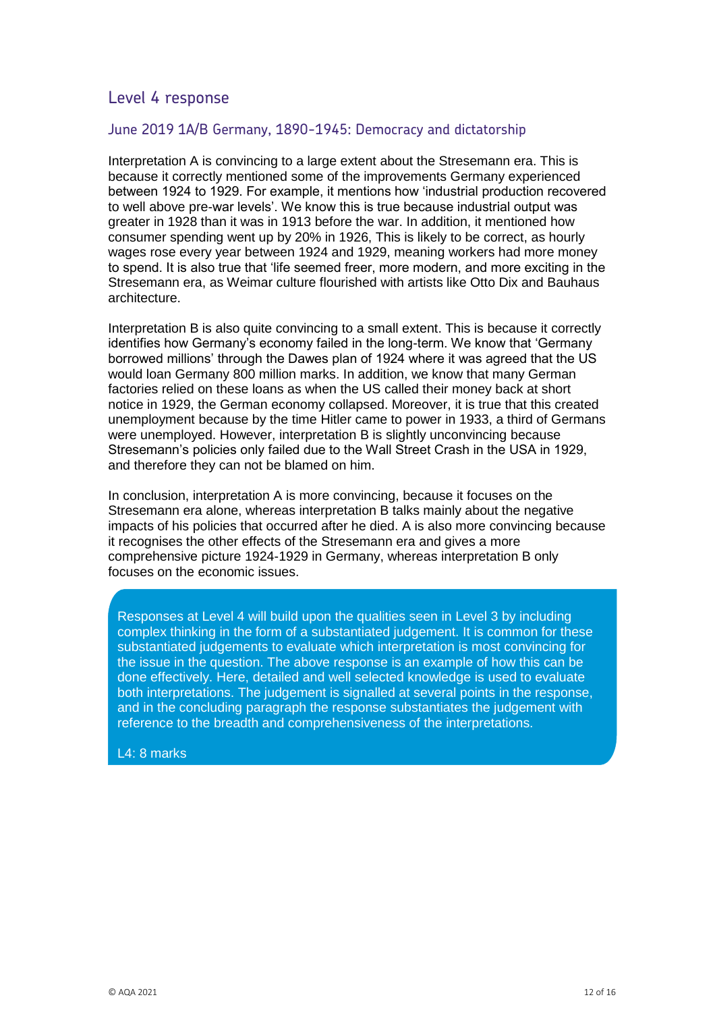### June 2019 1A/B Germany, 1890-1945: Democracy and dictatorship

Interpretation A is convincing to a large extent about the Stresemann era. This is because it correctly mentioned some of the improvements Germany experienced between 1924 to 1929. For example, it mentions how 'industrial production recovered to well above pre-war levels'. We know this is true because industrial output was greater in 1928 than it was in 1913 before the war. In addition, it mentioned how consumer spending went up by 20% in 1926, This is likely to be correct, as hourly wages rose every year between 1924 and 1929, meaning workers had more money to spend. It is also true that 'life seemed freer, more modern, and more exciting in the Stresemann era, as Weimar culture flourished with artists like Otto Dix and Bauhaus architecture.

Interpretation B is also quite convincing to a small extent. This is because it correctly identifies how Germany's economy failed in the long-term. We know that 'Germany borrowed millions' through the Dawes plan of 1924 where it was agreed that the US would loan Germany 800 million marks. In addition, we know that many German factories relied on these loans as when the US called their money back at short notice in 1929, the German economy collapsed. Moreover, it is true that this created unemployment because by the time Hitler came to power in 1933, a third of Germans were unemployed. However, interpretation B is slightly unconvincing because Stresemann's policies only failed due to the Wall Street Crash in the USA in 1929, and therefore they can not be blamed on him.

In conclusion, interpretation A is more convincing, because it focuses on the Stresemann era alone, whereas interpretation B talks mainly about the negative impacts of his policies that occurred after he died. A is also more convincing because it recognises the other effects of the Stresemann era and gives a more comprehensive picture 1924-1929 in Germany, whereas interpretation B only focuses on the economic issues.

. Responses at Level 4 will build upon the qualities seen in Level 3 by including complex thinking in the form of a substantiated judgement. It is common for these substantiated judgements to evaluate which interpretation is most convincing for the issue in the question. The above response is an example of how this can be done effectively. Here, detailed and well selected knowledge is used to evaluate both interpretations. The judgement is signalled at several points in the response, and in the concluding paragraph the response substantiates the judgement with reference to the breadth and comprehensiveness of the interpretations.

L4: 8 marks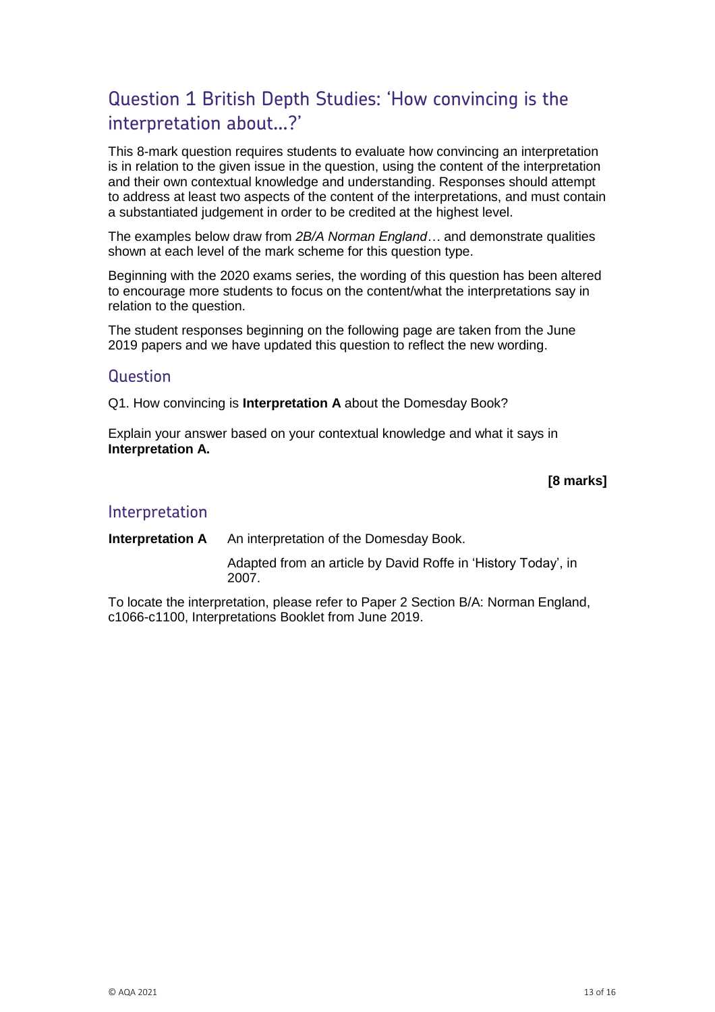# Question 1 British Depth Studies: 'How convincing is the interpretation about…?'

This 8-mark question requires students to evaluate how convincing an interpretation is in relation to the given issue in the question, using the content of the interpretation and their own contextual knowledge and understanding. Responses should attempt to address at least two aspects of the content of the interpretations, and must contain a substantiated judgement in order to be credited at the highest level.

The examples below draw from *2B/A Norman England…* and demonstrate qualities shown at each level of the mark scheme for this question type.

Beginning with the 2020 exams series, the wording of this question has been altered to encourage more students to focus on the content/what the interpretations say in relation to the question.

The student responses beginning on the following page are taken from the June 2019 papers and we have updated this question to reflect the new wording.

### Question

Q1. How convincing is **Interpretation A** about the Domesday Book?

Explain your answer based on your contextual knowledge and what it says in **Interpretation A.**

### **[8 marks]**

### Interpretation

**Interpretation A** An interpretation of the Domesday Book.

Adapted from an article by David Roffe in 'History Today', in 2007.

To locate the interpretation, please refer to Paper 2 Section B/A: Norman England, c1066-c1100, Interpretations Booklet from June 2019.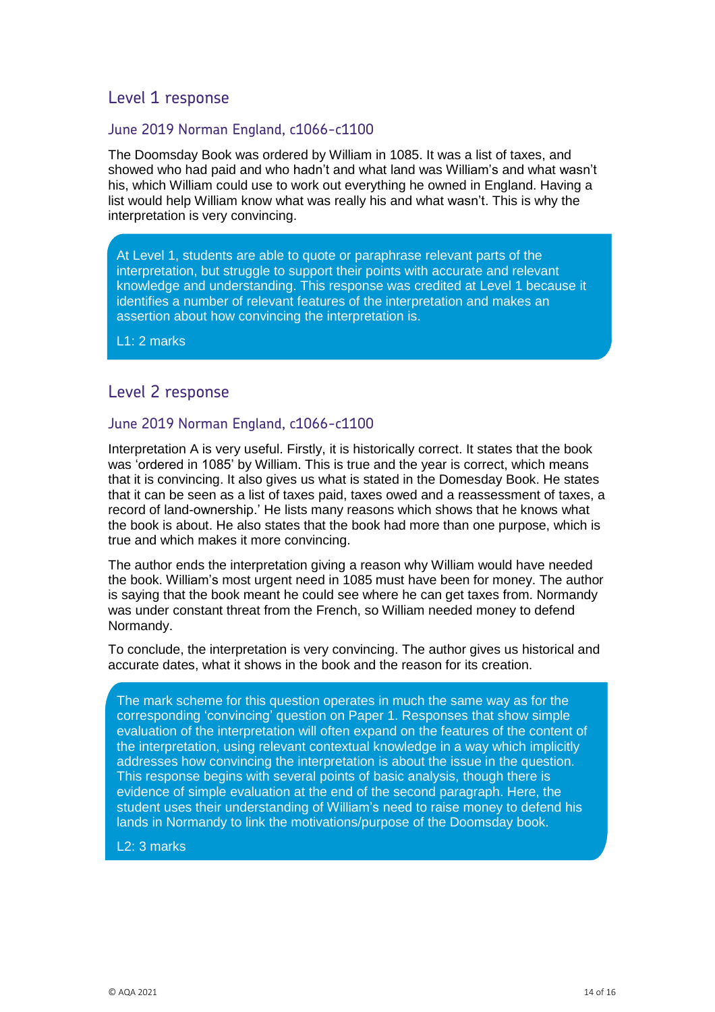### June 2019 Norman England, c1066-c1100

The Doomsday Book was ordered by William in 1085. It was a list of taxes, and showed who had paid and who hadn't and what land was William's and what wasn't his, which William could use to work out everything he owned in England. Having a list would help William know what was really his and what wasn't. This is why the interpretation is very convincing.

At Level 1, students are able to quote or paraphrase relevant parts of the interpretation, but struggle to support their points with accurate and relevant knowledge and understanding. This response was credited at Level 1 because it identifies a number of relevant features of the interpretation and makes an assertion about how convincing the interpretation is.

L1: 2 marks

## Level 2 response

### June 2019 Norman England, c1066-c1100

Interpretation A is very useful. Firstly, it is historically correct. It states that the book was 'ordered in 1085' by William. This is true and the year is correct, which means that it is convincing. It also gives us what is stated in the Domesday Book. He states that it can be seen as a list of taxes paid, taxes owed and a reassessment of taxes, a record of land-ownership.' He lists many reasons which shows that he knows what the book is about. He also states that the book had more than one purpose, which is true and which makes it more convincing.

The author ends the interpretation giving a reason why William would have needed the book. William's most urgent need in 1085 must have been for money. The author is saying that the book meant he could see where he can get taxes from. Normandy was under constant threat from the French, so William needed money to defend Normandy.

To conclude, the interpretation is very convincing. The author gives us historical and accurate dates, what it shows in the book and the reason for its creation.

The mark scheme for this question operates in much the same way as for the corresponding 'convincing' question on Paper 1. Responses that show simple evaluation of the interpretation will often expand on the features of the content of the interpretation, using relevant contextual knowledge in a way which implicitly addresses how convincing the interpretation is about the issue in the question. This response begins with several points of basic analysis, though there is evidence of simple evaluation at the end of the second paragraph. Here, the student uses their understanding of William's need to raise money to defend his lands in Normandy to link the motivations/purpose of the Doomsday book.

#### L2: 3 marks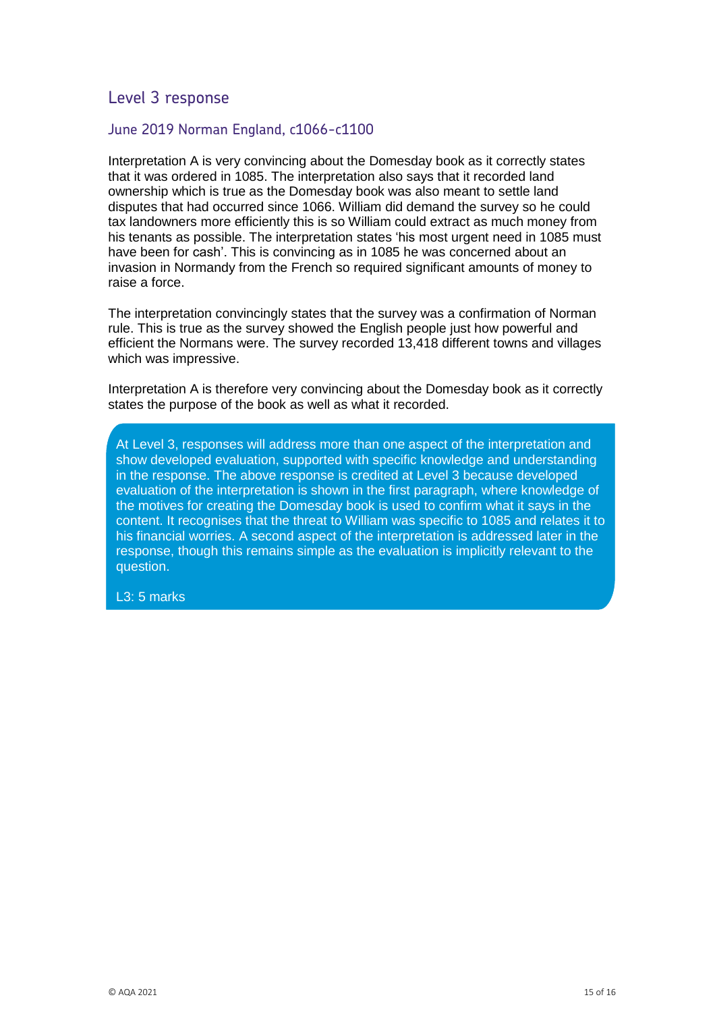### June 2019 Norman England, c1066-c1100

Interpretation A is very convincing about the Domesday book as it correctly states that it was ordered in 1085. The interpretation also says that it recorded land ownership which is true as the Domesday book was also meant to settle land disputes that had occurred since 1066. William did demand the survey so he could tax landowners more efficiently this is so William could extract as much money from his tenants as possible. The interpretation states 'his most urgent need in 1085 must have been for cash'. This is convincing as in 1085 he was concerned about an invasion in Normandy from the French so required significant amounts of money to raise a force.

The interpretation convincingly states that the survey was a confirmation of Norman rule. This is true as the survey showed the English people just how powerful and efficient the Normans were. The survey recorded 13,418 different towns and villages which was impressive.

Interpretation A is therefore very convincing about the Domesday book as it correctly states the purpose of the book as well as what it recorded.

At Level 3, responses will address more than one aspect of the interpretation and show developed evaluation, supported with specific knowledge and understanding in the response. The above response is credited at Level 3 because developed evaluation of the interpretation is shown in the first paragraph, where knowledge of the motives for creating the Domesday book is used to confirm what it says in the content. It recognises that the threat to William was specific to 1085 and relates it to his financial worries. A second aspect of the interpretation is addressed later in the response, though this remains simple as the evaluation is implicitly relevant to the question.

L3: 5 marks